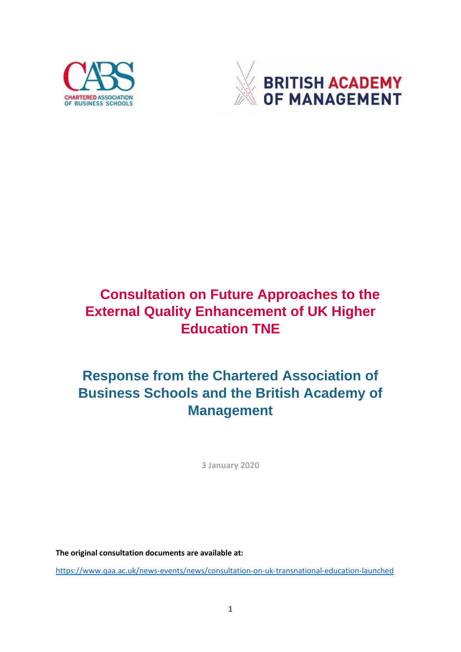



# **Consultation on Future Approaches to the External Quality Enhancement of UK Higher Education TNE**

# **Response from the Chartered Association of Business Schools and the British Academy of Management**

**3 January 2020**

**The original consultation documents are available at:**

<https://www.qaa.ac.uk/news-events/news/consultation-on-uk-transnational-education-launched>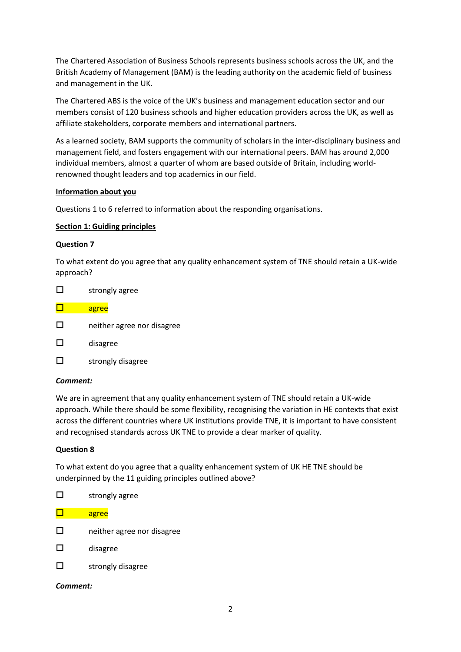The Chartered Association of Business Schools represents business schools across the UK, and the British Academy of Management (BAM) is the leading authority on the academic field of business and management in the UK.

The Chartered ABS is the voice of the UK's business and management education sector and our members consist of 120 business schools and higher education providers across the UK, as well as affiliate stakeholders, corporate members and international partners.

As a learned society, BAM supports the community of scholars in the inter-disciplinary business and management field, and fosters engagement with our international peers. BAM has around 2,000 individual members, almost a quarter of whom are based outside of Britain, including worldrenowned thought leaders and top academics in our field.

# **Information about you**

Questions 1 to 6 referred to information about the responding organisations.

# **Section 1: Guiding principles**

## **Question 7**

To what extent do you agree that any quality enhancement system of TNE should retain a UK-wide approach?

- $\square$  strongly agree
- $\Box$  agree □ neither agree nor disagree
- $\square$  disagree
- $\square$  strongly disagree

## *Comment:*

We are in agreement that any quality enhancement system of TNE should retain a UK-wide approach. While there should be some flexibility, recognising the variation in HE contexts that exist across the different countries where UK institutions provide TNE, it is important to have consistent and recognised standards across UK TNE to provide a clear marker of quality.

## **Question 8**

To what extent do you agree that a quality enhancement system of UK HE TNE should be underpinned by the 11 guiding principles outlined above?

|    | strongly agree             |
|----|----------------------------|
|    | agree                      |
| ΙI | neither agree nor disagree |
| П  | disagree                   |
|    | strongly disagree          |

*Comment:*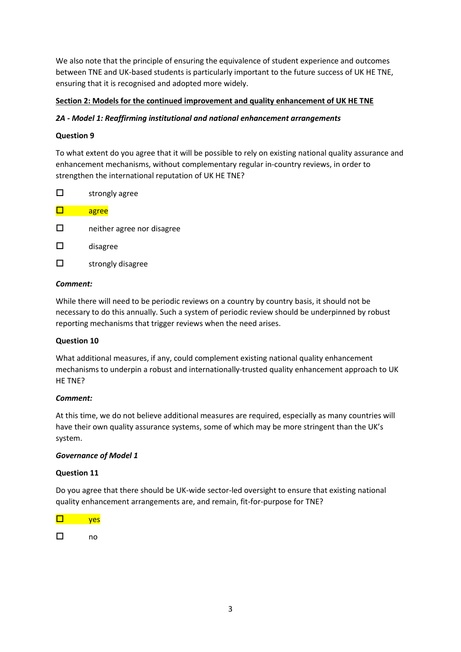We also note that the principle of ensuring the equivalence of student experience and outcomes between TNE and UK-based students is particularly important to the future success of UK HE TNE, ensuring that it is recognised and adopted more widely.

# **Section 2: Models for the continued improvement and quality enhancement of UK HE TNE**

# *2A - Model 1: Reaffirming institutional and national enhancement arrangements*

# **Question 9**

To what extent do you agree that it will be possible to rely on existing national quality assurance and enhancement mechanisms, without complementary regular in-country reviews, in order to strengthen the international reputation of UK HE TNE?

|    | strongly agree             |
|----|----------------------------|
|    | agree                      |
| ΙI | neither agree nor disagree |
| ΙI | disagree                   |
|    | strongly disagree          |
|    |                            |

# *Comment:*

While there will need to be periodic reviews on a country by country basis, it should not be necessary to do this annually. Such a system of periodic review should be underpinned by robust reporting mechanisms that trigger reviews when the need arises.

# **Question 10**

What additional measures, if any, could complement existing national quality enhancement mechanisms to underpin a robust and internationally-trusted quality enhancement approach to UK HE TNE?

# *Comment:*

At this time, we do not believe additional measures are required, especially as many countries will have their own quality assurance systems, some of which may be more stringent than the UK's system.

## *Governance of Model 1*

## **Question 11**

Do you agree that there should be UK-wide sector-led oversight to ensure that existing national quality enhancement arrangements are, and remain, fit-for-purpose for TNE?

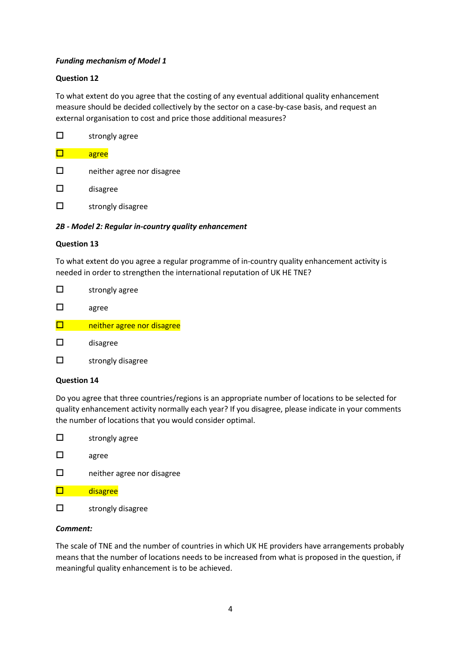# *Funding mechanism of Model 1*

## **Question 12**

To what extent do you agree that the costing of any eventual additional quality enhancement measure should be decided collectively by the sector on a case-by-case basis, and request an external organisation to cost and price those additional measures?

|    | strongly agree             |
|----|----------------------------|
|    | agree                      |
| ΙI | neither agree nor disagree |
| П  | disagree                   |
|    | strongly disagree          |

# *2B - Model 2: Regular in-country quality enhancement*

## **Question 13**

To what extent do you agree a regular programme of in-country quality enhancement activity is needed in order to strengthen the international reputation of UK HE TNE?

|              | strongly agree             |
|--------------|----------------------------|
| $\mathbf{L}$ | agree                      |
|              | neither agree nor disagree |
|              | disagree                   |

 $\square$  strongly disagree

## **Question 14**

Do you agree that three countries/regions is an appropriate number of locations to be selected for quality enhancement activity normally each year? If you disagree, please indicate in your comments the number of locations that you would consider optimal.

- $\square$  strongly agree
- agree
- □ neither agree nor disagree
- $\square$  disagree
- $\square$  strongly disagree

## *Comment:*

The scale of TNE and the number of countries in which UK HE providers have arrangements probably means that the number of locations needs to be increased from what is proposed in the question, if meaningful quality enhancement is to be achieved.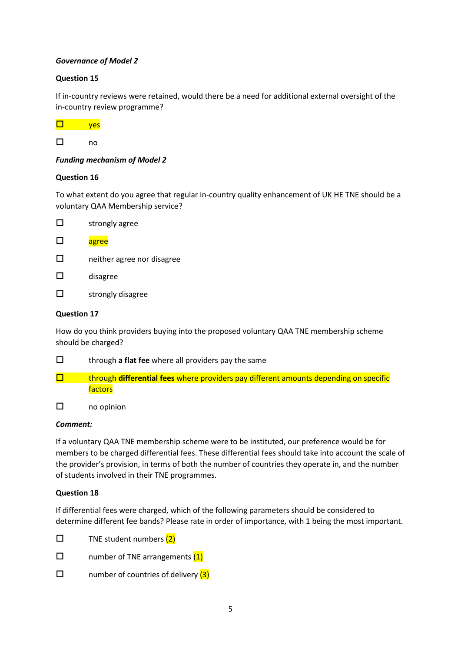# *Governance of Model 2*

# **Question 15**

If in-country reviews were retained, would there be a need for additional external oversight of the in-country review programme?



# *Funding mechanism of Model 2*

## **Question 16**

To what extent do you agree that regular in-country quality enhancement of UK HE TNE should be a voluntary QAA Membership service?

- $\square$  strongly agree
- $\square$  agree
- □ neither agree nor disagree
- $\square$  disagree
- $\square$  strongly disagree

## **Question 17**

How do you think providers buying into the proposed voluntary QAA TNE membership scheme should be charged?

- through **a flat fee** where all providers pay the same
- **T** through **differential fees** where providers pay different amounts depending on specific factors
- no opinion

## *Comment:*

If a voluntary QAA TNE membership scheme were to be instituted, our preference would be for members to be charged differential fees. These differential fees should take into account the scale of the provider's provision, in terms of both the number of countries they operate in, and the number of students involved in their TNE programmes.

## **Question 18**

If differential fees were charged, which of the following parameters should be considered to determine different fee bands? Please rate in order of importance, with 1 being the most important.

- $\square$  TNE student numbers (2)
- $\square$  number of TNE arrangements  $(1)$
- $\square$  number of countries of delivery  $(3)$